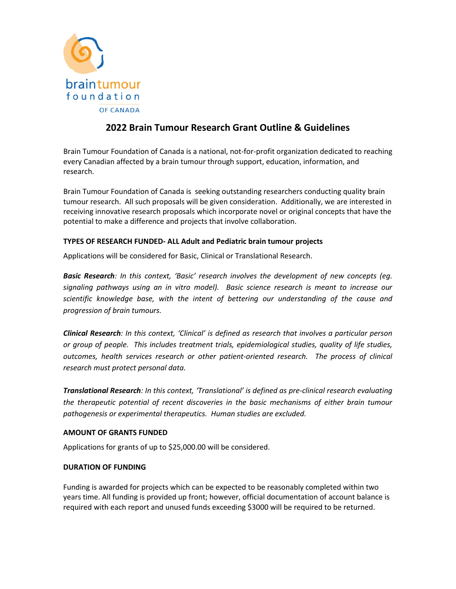

# **2022 Brain Tumour Research Grant Outline & Guidelines**

Brain Tumour Foundation of Canada is a national, not-for-profit organization dedicated to reaching every Canadian affected by a brain tumour through support, education, information, and research.

Brain Tumour Foundation of Canada is seeking outstanding researchers conducting quality brain tumour research. All such proposals will be given consideration. Additionally, we are interested in receiving innovative research proposals which incorporate novel or original concepts that have the potential to make a difference and projects that involve collaboration.

## **TYPES OF RESEARCH FUNDED- ALL Adult and Pediatric brain tumour projects**

Applications will be considered for Basic, Clinical or Translational Research.

*Basic Research: In this context, 'Basic' research involves the development of new concepts (eg. signaling pathways using an in vitro model). Basic science research is meant to increase our scientific knowledge base, with the intent of bettering our understanding of the cause and progression of brain tumours.*

*Clinical Research: In this context, 'Clinical' is defined as research that involves a particular person or group of people. This includes treatment trials, epidemiological studies, quality of life studies, outcomes, health services research or other patient-oriented research. The process of clinical research must protect personal data.*

*Translational Research: In this context, 'Translational' is defined as pre-clinical research evaluating the therapeutic potential of recent discoveries in the basic mechanisms of either brain tumour pathogenesis or experimental therapeutics. Human studies are excluded.* 

## **AMOUNT OF GRANTS FUNDED**

Applications for grants of up to \$25,000.00 will be considered.

## **DURATION OF FUNDING**

Funding is awarded for projects which can be expected to be reasonably completed within two years time. All funding is provided up front; however, official documentation of account balance is required with each report and unused funds exceeding \$3000 will be required to be returned.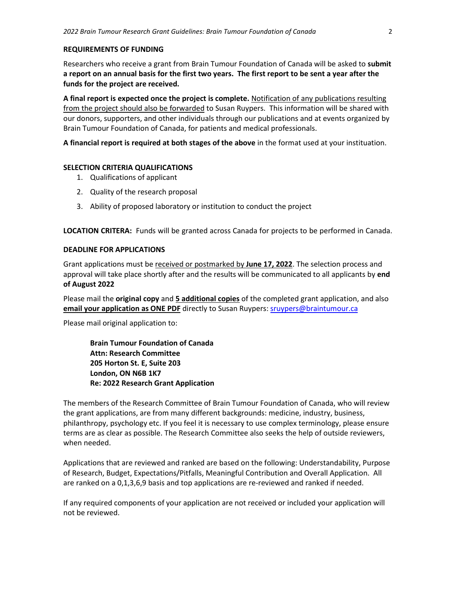#### **REQUIREMENTS OF FUNDING**

Researchers who receive a grant from Brain Tumour Foundation of Canada will be asked to **submit a report on an annual basis for the first two years. The first report to be sent a year after the funds for the project are received.** 

**A final report is expected once the project is complete.** Notification of any publications resulting from the project should also be forwarded to Susan Ruypers. This information will be shared with our donors, supporters, and other individuals through our publications and at events organized by Brain Tumour Foundation of Canada, for patients and medical professionals.

**A financial report is required at both stages of the above** in the format used at your instituation.

#### **SELECTION CRITERIA QUALIFICATIONS**

- 1. Qualifications of applicant
- 2. Quality of the research proposal
- 3. Ability of proposed laboratory or institution to conduct the project

**LOCATION CRITERA:** Funds will be granted across Canada for projects to be performed in Canada.

#### **DEADLINE FOR APPLICATIONS**

Grant applications must be received or postmarked by **June 17, 2022**. The selection process and approval will take place shortly after and the results will be communicated to all applicants by **end of August 2022**

Please mail the **original copy** and **5 additional copies** of the completed grant application, and also **email your application as ONE PDF** directly to Susan Ruypers: [sruypers@braintumour.ca](mailto:sruypers@braintumour.ca)

Please mail original application to:

**Brain Tumour Foundation of Canada Attn: Research Committee 205 Horton St. E, Suite 203 London, ON N6B 1K7 Re: 2022 Research Grant Application**

The members of the Research Committee of Brain Tumour Foundation of Canada, who will review the grant applications, are from many different backgrounds: medicine, industry, business, philanthropy, psychology etc. If you feel it is necessary to use complex terminology, please ensure terms are as clear as possible. The Research Committee also seeks the help of outside reviewers, when needed.

Applications that are reviewed and ranked are based on the following: Understandability, Purpose of Research, Budget, Expectations/Pitfalls, Meaningful Contribution and Overall Application. All are ranked on a 0,1,3,6,9 basis and top applications are re-reviewed and ranked if needed.

If any required components of your application are not received or included your application will not be reviewed.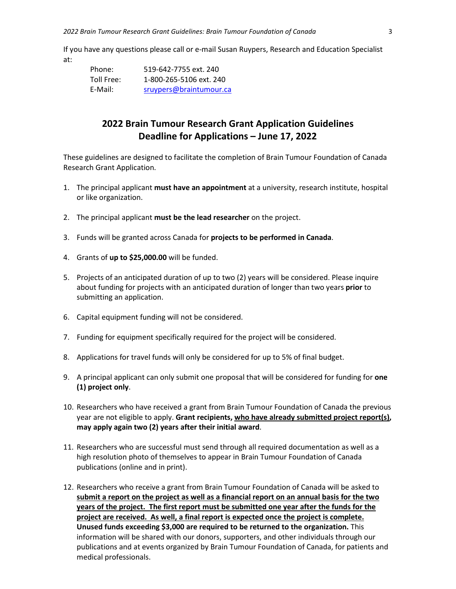If you have any questions please call or e-mail Susan Ruypers, Research and Education Specialist at:

| Phone:     | 519-642-7755 ext. 240   |
|------------|-------------------------|
| Toll Free: | 1-800-265-5106 ext. 240 |
| E-Mail:    | sruypers@braintumour.ca |

## **2022 Brain Tumour Research Grant Application Guidelines Deadline for Applications – June 17, 2022**

These guidelines are designed to facilitate the completion of Brain Tumour Foundation of Canada Research Grant Application.

- 1. The principal applicant **must have an appointment** at a university, research institute, hospital or like organization.
- 2. The principal applicant **must be the lead researcher** on the project.
- 3. Funds will be granted across Canada for **projects to be performed in Canada**.
- 4. Grants of **up to \$25,000.00** will be funded.
- 5. Projects of an anticipated duration of up to two (2) years will be considered. Please inquire about funding for projects with an anticipated duration of longer than two years **prior** to submitting an application.
- 6. Capital equipment funding will not be considered.
- 7. Funding for equipment specifically required for the project will be considered.
- 8. Applications for travel funds will only be considered for up to 5% of final budget.
- 9. A principal applicant can only submit one proposal that will be considered for funding for **one (1) project only**.
- 10. Researchers who have received a grant from Brain Tumour Foundation of Canada the previous year are not eligible to apply. **Grant recipients, who have already submitted project report(s), may apply again two (2) years after their initial award**.
- 11. Researchers who are successful must send through all required documentation as well as a high resolution photo of themselves to appear in Brain Tumour Foundation of Canada publications (online and in print).
- 12. Researchers who receive a grant from Brain Tumour Foundation of Canada will be asked to **submit a report on the project as well as a financial report on an annual basis for the two years of the project. The first report must be submitted one year after the funds for the project are received. As well, a final report is expected once the project is complete. Unused funds exceeding \$3,000 are required to be returned to the organization.** This information will be shared with our donors, supporters, and other individuals through our publications and at events organized by Brain Tumour Foundation of Canada, for patients and medical professionals.